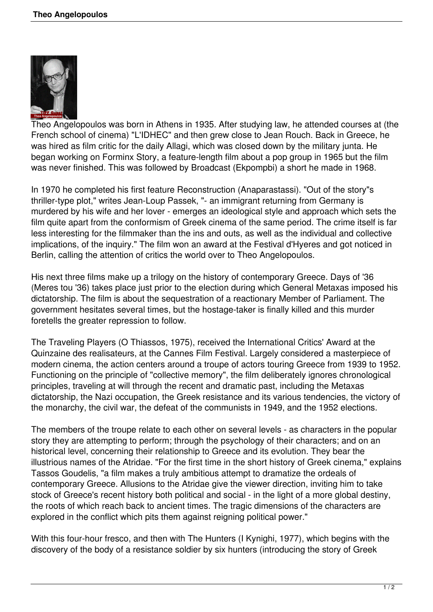

Theo Angelopoulos was born in Athens in 1935. After studying law, he attended courses at (the French school of cinema) "L'IDHEC" and then grew close to Jean Rouch. Back in Greece, he was hired as film critic for the daily Allagi, which was closed down by the military junta. He began working on Forminx Story, a feature-length film about a pop group in 1965 but the film was never finished. This was followed by Broadcast (Ekpompbi) a short he made in 1968.

In 1970 he completed his first feature Reconstruction (Anaparastassi). "Out of the story"s thriller-type plot," writes Jean-Loup Passek, "- an immigrant returning from Germany is murdered by his wife and her lover - emerges an ideological style and approach which sets the film quite apart from the conformism of Greek cinema of the same period. The crime itself is far less interesting for the filmmaker than the ins and outs, as well as the individual and collective implications, of the inquiry." The film won an award at the Festival d'Hyeres and got noticed in Berlin, calling the attention of critics the world over to Theo Angelopoulos.

His next three films make up a trilogy on the history of contemporary Greece. Days of '36 (Meres tou '36) takes place just prior to the election during which General Metaxas imposed his dictatorship. The film is about the sequestration of a reactionary Member of Parliament. The government hesitates several times, but the hostage-taker is finally killed and this murder foretells the greater repression to follow.

The Traveling Players (O Thiassos, 1975), received the International Critics' Award at the Quinzaine des realisateurs, at the Cannes Film Festival. Largely considered a masterpiece of modern cinema, the action centers around a troupe of actors touring Greece from 1939 to 1952. Functioning on the principle of "collective memory", the film deliberately ignores chronological principles, traveling at will through the recent and dramatic past, including the Metaxas dictatorship, the Nazi occupation, the Greek resistance and its various tendencies, the victory of the monarchy, the civil war, the defeat of the communists in 1949, and the 1952 elections.

The members of the troupe relate to each other on several levels - as characters in the popular story they are attempting to perform; through the psychology of their characters; and on an historical level, concerning their relationship to Greece and its evolution. They bear the illustrious names of the Atridae. "For the first time in the short history of Greek cinema," explains Tassos Goudelis, "a film makes a truly ambitious attempt to dramatize the ordeals of contemporary Greece. Allusions to the Atridae give the viewer direction, inviting him to take stock of Greece's recent history both political and social - in the light of a more global destiny, the roots of which reach back to ancient times. The tragic dimensions of the characters are explored in the conflict which pits them against reigning political power."

With this four-hour fresco, and then with The Hunters (I Kynighi, 1977), which begins with the discovery of the body of a resistance soldier by six hunters (introducing the story of Greek